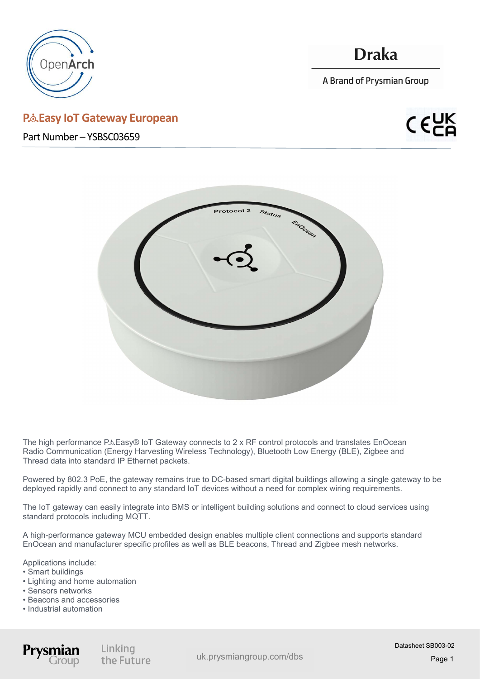

# **Draka**

A Brand of Prysmian Group

### P.& Easy IoT Gateway European

Part Number – YSBSC03659





The high performance P&Easy® IoT Gateway connects to 2 x RF control protocols and translates EnOcean Radio Communication (Energy Harvesting Wireless Technology), Bluetooth Low Energy (BLE), Zigbee and Thread data into standard IP Ethernet packets.

Powered by 802.3 PoE, the gateway remains true to DC-based smart digital buildings allowing a single gateway to be deployed rapidly and connect to any standard IoT devices without a need for complex wiring requirements.

The IoT gateway can easily integrate into BMS or intelligent building solutions and connect to cloud services using standard protocols including MQTT.

A high-performance gateway MCU embedded design enables multiple client connections and supports standard EnOcean and manufacturer specific profiles as well as BLE beacons, Thread and Zigbee mesh networks.

Applications include:

- Smart buildings
- Lighting and home automation
- Sensors networks
- Beacons and accessories
- Industrial automation